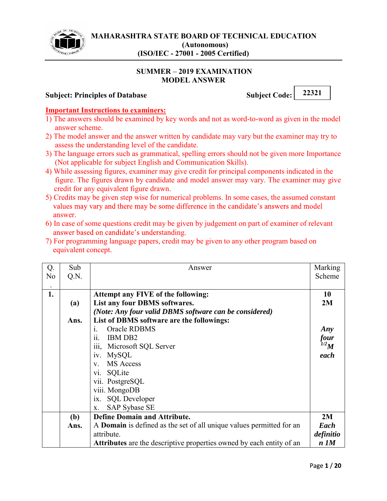

#### **SUMMER 2019 EXAMINATION MODEL ANSWER**

## **Subject: Principles of Database Subject Code:** 22321

#### **Important Instructions to examiners:**

- 1) The answers should be examined by key words and not as word-to-word as given in the model answer scheme.
- 2) The model answer and the answer written by candidate may vary but the examiner may try to assess the understanding level of the candidate.
- 3) The language errors such as grammatical, spelling errors should not be given more Importance (Not applicable for subject English and Communication Skills).
- 4) While assessing figures, examiner may give credit for principal components indicated in the figure. The figures drawn by candidate and model answer may vary. The examiner may give credit for any equivalent figure drawn.
- 5) Credits may be given step wise for numerical problems. In some cases, the assumed constant values may vary and there may be some difference in the candidate's answers and model answer.
- 6) In case of some questions credit may be given by judgement on part of examiner of relevant answer based on candidate's understanding.
- 7) For programming language papers, credit may be given to any other program based on equivalent concept.

| Q.             | Sub  | Answer                                                                      | Marking   |  |  |
|----------------|------|-----------------------------------------------------------------------------|-----------|--|--|
| N <sub>o</sub> | Q.N. |                                                                             | Scheme    |  |  |
| $\bullet$      |      |                                                                             |           |  |  |
| 1.             |      | Attempt any FIVE of the following:                                          | 10        |  |  |
|                | (a)  | List any four DBMS softwares.                                               | 2M        |  |  |
|                |      | (Note: Any four valid DBMS software can be considered)                      |           |  |  |
|                | Ans. | List of DBMS software are the followings:                                   |           |  |  |
|                |      | Oracle RDBMS<br>$\mathbf{1}$                                                | Any       |  |  |
|                |      | IBM DB <sub>2</sub><br>11                                                   |           |  |  |
|                |      | Microsoft SQL Server<br>111,                                                |           |  |  |
|                |      | MySQL<br>1V.                                                                | each      |  |  |
|                |      | <b>MS</b> Access<br>$V_{-}$                                                 |           |  |  |
|                |      | SQLite<br>V1.                                                               |           |  |  |
|                |      | vii. PostgreSQL                                                             |           |  |  |
|                |      | viii. MongoDB                                                               |           |  |  |
|                |      | ix. SQL Developer                                                           |           |  |  |
|                |      | SAP Sybase SE<br>X.                                                         |           |  |  |
|                | (b)  | <b>Define Domain and Attribute.</b>                                         | 2M        |  |  |
|                | Ans. | A <b>Domain</b> is defined as the set of all unique values permitted for an | Each      |  |  |
|                |      | attribute.                                                                  | definitio |  |  |
|                |      | <b>Attributes</b> are the descriptive properties owned by each entity of an | $n$ $1M$  |  |  |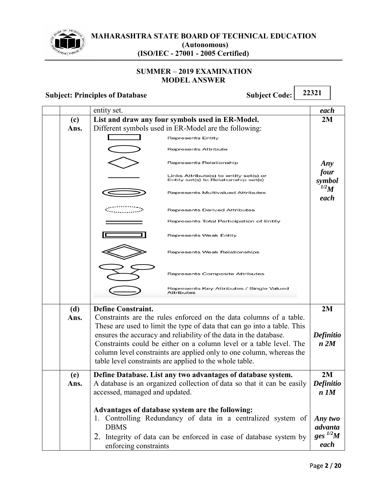

#### **SUMMER - 2019 EXAMINATION MODEL ANSWER**

|      | entity set.                                                                    | each                  |  |
|------|--------------------------------------------------------------------------------|-----------------------|--|
| (c)  | List and draw any four symbols used in ER-Model.                               | 2M                    |  |
| Ans. | Different symbols used in ER-Model are the following:                          |                       |  |
|      | <b>Represents Entity</b>                                                       |                       |  |
|      | Represents Attribute                                                           |                       |  |
|      | Represents Relationship                                                        | Any                   |  |
|      | Links Attribute(s) to entity set(s) or<br>Entity set(s) to Relationship set(s) | four<br>symbol        |  |
|      | Represents Multivalued Attributes                                              | $^{1/2}M$<br>each     |  |
|      | Represents Derived Attributes                                                  |                       |  |
|      | Represents Total Participation of Entity                                       |                       |  |
|      | <b>Represents Weak Entity</b>                                                  |                       |  |
|      | Represents Weak Relationships                                                  |                       |  |
|      | Represents Composite Attributes                                                |                       |  |
|      | Represents Key Attributes / Single Valued<br>Attributes                        |                       |  |
| (d)  | <b>Define Constraint.</b>                                                      | 2M                    |  |
| Ans. | Constraints are the rules enforced on the data columns of a table.             |                       |  |
|      | These are used to limit the type of data that can go into a table. This        |                       |  |
|      | ensures the accuracy and reliability of the data in the database.              | Definitio             |  |
|      | Constraints could be either on a column level or a table level. The            | n 2M                  |  |
|      | column level constraints are applied only to one column, whereas the           |                       |  |
|      | table level constraints are applied to the whole table.                        |                       |  |
| (e)  | Define Database. List any two advantages of database system.                   |                       |  |
| Ans. | A database is an organized collection of data so that it can be easily         |                       |  |
|      | accessed, managed and updated.                                                 |                       |  |
|      |                                                                                |                       |  |
|      | Advantages of database system are the following:                               |                       |  |
|      | 1. Controlling Redundancy of data in a centralized system of                   |                       |  |
|      | <b>DBMS</b>                                                                    |                       |  |
|      | 2. Integrity of data can be enforced in case of database system by             | ges $^{1/2}M$<br>each |  |
|      | enforcing constraints                                                          |                       |  |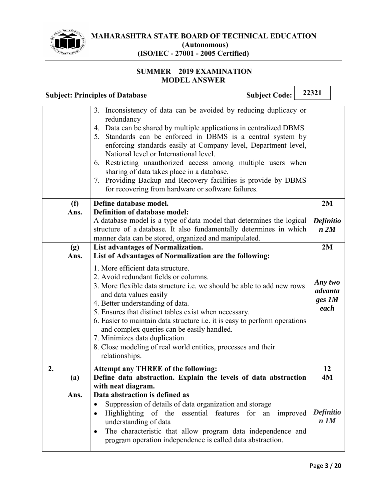

#### **SUMMER 2019 EXAMINATION MODEL ANSWER**

|    |             | <b>Subject Code:</b><br><b>Subject: Principles of Database</b>                                                                                                                                                                                                                                                                                                                                                                                                                                                                                                        | 22321                                |
|----|-------------|-----------------------------------------------------------------------------------------------------------------------------------------------------------------------------------------------------------------------------------------------------------------------------------------------------------------------------------------------------------------------------------------------------------------------------------------------------------------------------------------------------------------------------------------------------------------------|--------------------------------------|
|    |             | 3. Inconsistency of data can be avoided by reducing duplicacy or<br>redundancy<br>4. Data can be shared by multiple applications in centralized DBMS<br>5. Standards can be enforced in DBMS is a central system by<br>enforcing standards easily at Company level, Department level,<br>National level or International level.<br>6. Restricting unauthorized access among multiple users when<br>sharing of data takes place in a database.<br>7. Providing Backup and Recovery facilities is provide by DBMS<br>for recovering from hardware or software failures. |                                      |
|    | (f)<br>Ans. | Define database model.<br>Definition of database model:                                                                                                                                                                                                                                                                                                                                                                                                                                                                                                               | 2M                                   |
|    |             | A database model is a type of data model that determines the logical<br>structure of a database. It also fundamentally determines in which<br>manner data can be stored, organized and manipulated.                                                                                                                                                                                                                                                                                                                                                                   | Definitio<br>n 2M                    |
|    | (g)<br>Ans. | List advantages of Normalization.<br>List of Advantages of Normalization are the following:                                                                                                                                                                                                                                                                                                                                                                                                                                                                           | 2M                                   |
|    |             | 1. More efficient data structure.<br>2. Avoid redundant fields or columns.<br>3. More flexible data structure <i>i.e.</i> we should be able to add new rows<br>and data values easily<br>4. Better understanding of data.<br>5. Ensures that distinct tables exist when necessary.<br>6. Easier to maintain data structure <i>i.e.</i> it is easy to perform operations<br>and complex queries can be easily handled.<br>7. Minimizes data duplication.<br>8. Close modeling of real world entities, processes and their<br>relationships.                            | Any two<br>advanta<br>ges 1M<br>each |
| 2. | (a)         | <b>Attempt any THREE of the following:</b><br>Define data abstraction. Explain the levels of data abstraction                                                                                                                                                                                                                                                                                                                                                                                                                                                         | 12<br>4M                             |
|    | Ans.        | with neat diagram.<br>Data abstraction is defined as<br>Suppression of details of data organization and storage<br>٠<br>Highlighting of the essential features<br>for<br>improved<br>an<br>٠<br>understanding of data<br>The characteristic that allow program data independence and<br>٠<br>program operation independence is called data abstraction.                                                                                                                                                                                                               | <b>Definitio</b><br>$n$ $1M$         |

 $\overline{\phantom{a}}$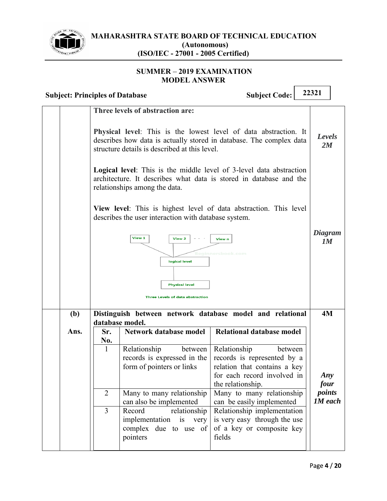

#### **SUMMER 2019 EXAMINATION MODEL ANSWER**

|      |                                                                                                                                                                                          | <b>Subject: Principles of Database</b>                                                | <b>Subject Code:</b>                                                                                                                       | 22321             |  |
|------|------------------------------------------------------------------------------------------------------------------------------------------------------------------------------------------|---------------------------------------------------------------------------------------|--------------------------------------------------------------------------------------------------------------------------------------------|-------------------|--|
|      |                                                                                                                                                                                          | Three levels of abstraction are:                                                      |                                                                                                                                            |                   |  |
|      | Physical level: This is the lowest level of data abstraction. It<br>describes how data is actually stored in database. The complex data<br>structure details is described at this level. |                                                                                       |                                                                                                                                            |                   |  |
|      | <b>Logical level:</b> This is the middle level of 3-level data abstraction<br>architecture. It describes what data is stored in database and the<br>relationships among the data.        |                                                                                       |                                                                                                                                            |                   |  |
|      |                                                                                                                                                                                          | describes the user interaction with database system.                                  | View level: This is highest level of data abstraction. This level                                                                          |                   |  |
|      | View 1<br>View 2<br>View n<br>Beainnersbook.com                                                                                                                                          |                                                                                       |                                                                                                                                            | Diagram<br>1M     |  |
|      |                                                                                                                                                                                          | logical level<br><b>Physical level</b>                                                |                                                                                                                                            |                   |  |
|      |                                                                                                                                                                                          | <b>Three Levels of data abstraction</b>                                               |                                                                                                                                            |                   |  |
| (b)  |                                                                                                                                                                                          | database model.                                                                       | Distinguish between network database model and relational                                                                                  | 4M                |  |
| Ans. | Sr.<br>No.<br>1                                                                                                                                                                          | Network database model                                                                | <b>Relational database model</b>                                                                                                           |                   |  |
|      |                                                                                                                                                                                          | Relationship<br>between<br>records is expressed in the<br>form of pointers or links   | Relationship<br>between<br>records is represented by a<br>relation that contains a key<br>for each record involved in<br>the relationship. | Any<br>four       |  |
|      | $\overline{2}$                                                                                                                                                                           | Many to many relationship<br>can also be implemented                                  | Many to many relationship<br>can be easily implemented                                                                                     | points<br>1M each |  |
|      | $\overline{3}$                                                                                                                                                                           | Record<br>relationship<br>implementation is very<br>complex due to use of<br>pointers | Relationship implementation<br>is very easy through the use<br>of a key or composite key<br>fields                                         |                   |  |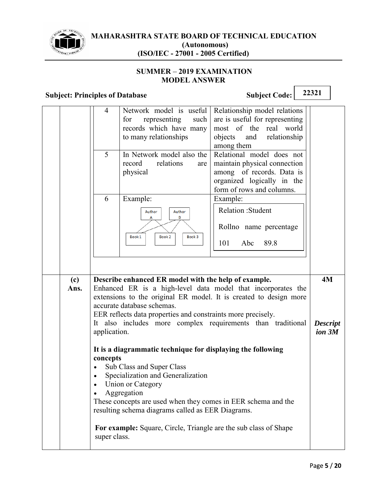

#### **SUMMER - 2019 EXAMINATION MODEL ANSWER**

|                                                                                                                                                                                                                                                                                                                                                                                       | 4<br>5<br>6                        | Network model is useful<br>representing<br>such<br>for<br>records which have many<br>to many relationships<br>In Network model also the<br>relations<br>record<br>are<br>physical<br>Example:                                                                                           | Relationship model relations<br>are is useful for representing<br>most of the real world<br>objects and relationship<br>among them<br>Relational model does not<br>maintain physical connection<br>among of records. Data is<br>organized logically in the<br>form of rows and columns.<br>Example: |                                 |
|---------------------------------------------------------------------------------------------------------------------------------------------------------------------------------------------------------------------------------------------------------------------------------------------------------------------------------------------------------------------------------------|------------------------------------|-----------------------------------------------------------------------------------------------------------------------------------------------------------------------------------------------------------------------------------------------------------------------------------------|-----------------------------------------------------------------------------------------------------------------------------------------------------------------------------------------------------------------------------------------------------------------------------------------------------|---------------------------------|
|                                                                                                                                                                                                                                                                                                                                                                                       |                                    | Author<br>Author<br>B<br>А<br>Book 2<br>Book 1<br>Book 3                                                                                                                                                                                                                                | Relation: Student<br>Rollno name percentage<br>101<br>Abc<br>89.8                                                                                                                                                                                                                                   |                                 |
| Describe enhanced ER model with the help of example.<br>(c)<br>Enhanced ER is a high-level data model that incorporates the<br>Ans.<br>extensions to the original ER model. It is created to design more<br>accurate database schemas.<br>EER reflects data properties and constraints more precisely.<br>It also includes more complex requirements than traditional<br>application. |                                    |                                                                                                                                                                                                                                                                                         |                                                                                                                                                                                                                                                                                                     | 4M<br><b>Descript</b><br>ion 3M |
|                                                                                                                                                                                                                                                                                                                                                                                       | concepts<br>$\bullet$<br>$\bullet$ | It is a diagrammatic technique for displaying the following<br>Sub Class and Super Class<br>Specialization and Generalization<br>Union or Category<br>Aggregation<br>These concepts are used when they comes in EER schema and the<br>resulting schema diagrams called as EER Diagrams. |                                                                                                                                                                                                                                                                                                     |                                 |
|                                                                                                                                                                                                                                                                                                                                                                                       | super class.                       | For example: Square, Circle, Triangle are the sub class of Shape                                                                                                                                                                                                                        |                                                                                                                                                                                                                                                                                                     |                                 |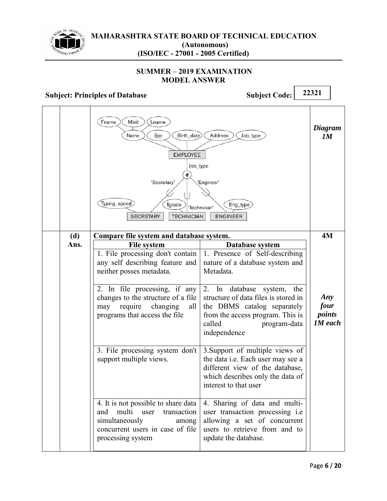

#### **SUMMER 2019 EXAMINATION MODEL ANSWER**

## **Subject: Principles of Database Subject Code:** 22321

Fname Minit Lname *Diagram* Birth\_date Address Job\_type Name Ssn *1M* **EMPLOYEE** Job\_type  $\mathsf{d}$ 'Secretary' 'Engineer' (Typing\_speed) Tgrade Eng\_type 'Technician' **SECRETARY TECHNICIAN** ENGINEER **Compare file system and database system. 4M (d)**  File system **Database system Ans.**  1. File processing don't contain 1. Presence of Self-describing any self describing feature and nature of a database system and neither posses metadata. Metadata. 2. In database system, the 2. In file processing, if any changes to the structure of a file structure of data files is stored in *Any*  may require changing all the DBMS catalog separately *four points* programs that access the file from the access program. This is called program-data *1M each*independence 3.Support of multiple views of 3. File processing system don't the data i.e. Each user may see a support multiple views. different view of the database, which describes only the data of interest to that user 4. It is not possible to share data 4. Sharing of data and multiand multi user transaction user transaction processing i.e allowing a set of concurrent simultaneously among concurrent users in case of file users to retrieve from and to processing system update the database.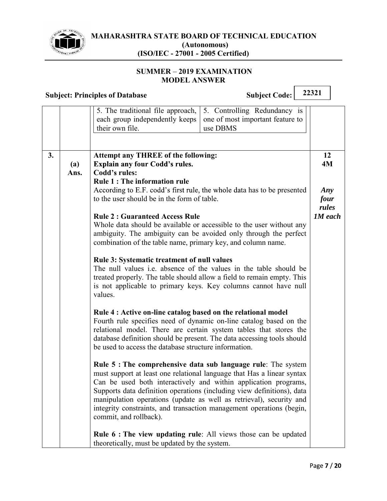

#### **SUMMER 2019 EXAMINATION MODEL ANSWER**

|    |             | <b>Subject: Principles of Database</b>                                                                                                                                                                                                                                                                                                                                                                                                                                                                                   | <b>Subject Code:</b>                                                                                                                                                                                                                                                                                                                                                                                                                                                                                                                                                                                                                                                                                                                                                                                                                                                                                                                                                                                                                                                                                                                                                              | 22321                                              |
|----|-------------|--------------------------------------------------------------------------------------------------------------------------------------------------------------------------------------------------------------------------------------------------------------------------------------------------------------------------------------------------------------------------------------------------------------------------------------------------------------------------------------------------------------------------|-----------------------------------------------------------------------------------------------------------------------------------------------------------------------------------------------------------------------------------------------------------------------------------------------------------------------------------------------------------------------------------------------------------------------------------------------------------------------------------------------------------------------------------------------------------------------------------------------------------------------------------------------------------------------------------------------------------------------------------------------------------------------------------------------------------------------------------------------------------------------------------------------------------------------------------------------------------------------------------------------------------------------------------------------------------------------------------------------------------------------------------------------------------------------------------|----------------------------------------------------|
|    |             | 5. The traditional file approach,<br>each group independently keeps<br>their own file.                                                                                                                                                                                                                                                                                                                                                                                                                                   | 5. Controlling Redundancy is<br>one of most important feature to<br>use DBMS                                                                                                                                                                                                                                                                                                                                                                                                                                                                                                                                                                                                                                                                                                                                                                                                                                                                                                                                                                                                                                                                                                      |                                                    |
| 3. | (a)<br>Ans. | <b>Attempt any THREE of the following:</b><br><b>Explain any four Codd's rules.</b><br>Codd's rules:<br><b>Rule 1: The information rule</b><br>to the user should be in the form of table.<br><b>Rule 2: Guaranteed Access Rule</b><br>combination of the table name, primary key, and column name.<br><b>Rule 3: Systematic treatment of null values</b><br>values.<br>Rule 4 : Active on-line catalog based on the relational model<br>be used to access the database structure information.<br>commit, and rollback). | According to E.F. codd's first rule, the whole data has to be presented<br>Whole data should be available or accessible to the user without any<br>ambiguity. The ambiguity can be avoided only through the perfect<br>The null values i.e. absence of the values in the table should be<br>treated properly. The table should allow a field to remain empty. This<br>is not applicable to primary keys. Key columns cannot have null<br>Fourth rule specifies need of dynamic on-line catalog based on the<br>relational model. There are certain system tables that stores the<br>database definition should be present. The data accessing tools should<br><b>Rule 5: The comprehensive data sub language rule:</b> The system<br>must support at least one relational language that Has a linear syntax<br>Can be used both interactively and within application programs,<br>Supports data definition operations (including view definitions), data<br>manipulation operations (update as well as retrieval), security and<br>integrity constraints, and transaction management operations (begin,<br><b>Rule 6 : The view updating rule:</b> All views those can be updated | 12<br>4M<br>Any<br>four<br>rules<br><b>1M</b> each |
|    |             | theoretically, must be updated by the system.                                                                                                                                                                                                                                                                                                                                                                                                                                                                            |                                                                                                                                                                                                                                                                                                                                                                                                                                                                                                                                                                                                                                                                                                                                                                                                                                                                                                                                                                                                                                                                                                                                                                                   |                                                    |

٦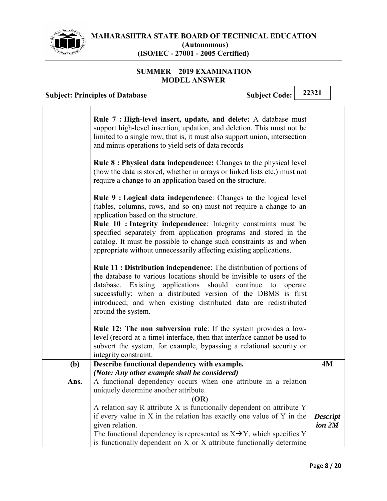

#### **SUMMER - 2019 EXAMINATION MODEL ANSWER**

# **Subject: Principles of Database Subject Code:** 22321

| Rule 7 : High-level insert, update, and delete: A database must<br>support high-level insertion, updation, and deletion. This must not be<br>limited to a single row, that is, it must also support union, intersection<br>and minus operations to yield sets of data records<br><b>Rule 8: Physical data independence:</b> Changes to the physical level                                                                                                         |                                                                                                                                                                                                                                                                                                     |
|-------------------------------------------------------------------------------------------------------------------------------------------------------------------------------------------------------------------------------------------------------------------------------------------------------------------------------------------------------------------------------------------------------------------------------------------------------------------|-----------------------------------------------------------------------------------------------------------------------------------------------------------------------------------------------------------------------------------------------------------------------------------------------------|
| require a change to an application based on the structure.                                                                                                                                                                                                                                                                                                                                                                                                        |                                                                                                                                                                                                                                                                                                     |
| Rule 9 : Logical data independence: Changes to the logical level<br>(tables, columns, rows, and so on) must not require a change to an<br>application based on the structure.<br>Rule 10 : Integrity independence: Integrity constraints must be<br>specified separately from application programs and stored in the<br>catalog. It must be possible to change such constraints as and when<br>appropriate without unnecessarily affecting existing applications. |                                                                                                                                                                                                                                                                                                     |
| <b>Rule 11: Distribution independence:</b> The distribution of portions of<br>the database to various locations should be invisible to users of the<br>database. Existing applications should continue to<br>operate<br>successfully: when a distributed version of the DBMS is first<br>introduced; and when existing distributed data are redistributed<br>around the system.                                                                                   |                                                                                                                                                                                                                                                                                                     |
| <b>Rule 12: The non subversion rule</b> : If the system provides a low-<br>level (record-at-a-time) interface, then that interface cannot be used to<br>subvert the system, for example, bypassing a relational security or<br>integrity constraint.                                                                                                                                                                                                              |                                                                                                                                                                                                                                                                                                     |
| Describe functional dependency with example.                                                                                                                                                                                                                                                                                                                                                                                                                      | <b>4M</b>                                                                                                                                                                                                                                                                                           |
| (Note: Any other example shall be considered)                                                                                                                                                                                                                                                                                                                                                                                                                     |                                                                                                                                                                                                                                                                                                     |
| A functional dependency occurs when one attribute in a relation                                                                                                                                                                                                                                                                                                                                                                                                   |                                                                                                                                                                                                                                                                                                     |
|                                                                                                                                                                                                                                                                                                                                                                                                                                                                   |                                                                                                                                                                                                                                                                                                     |
|                                                                                                                                                                                                                                                                                                                                                                                                                                                                   |                                                                                                                                                                                                                                                                                                     |
|                                                                                                                                                                                                                                                                                                                                                                                                                                                                   |                                                                                                                                                                                                                                                                                                     |
|                                                                                                                                                                                                                                                                                                                                                                                                                                                                   | <b>Descript</b><br>ion <sub>2M</sub>                                                                                                                                                                                                                                                                |
| The functional dependency is represented as $X \rightarrow Y$ , which specifies Y<br>is functionally dependent on X or X attribute functionally determine                                                                                                                                                                                                                                                                                                         |                                                                                                                                                                                                                                                                                                     |
|                                                                                                                                                                                                                                                                                                                                                                                                                                                                   | (how the data is stored, whether in arrays or linked lists etc.) must not<br>uniquely determine another attribute.<br>(OR)<br>A relation say R attribute X is functionally dependent on attribute Y<br>if every value in $X$ in the relation has exactly one value of $Y$ in the<br>given relation. |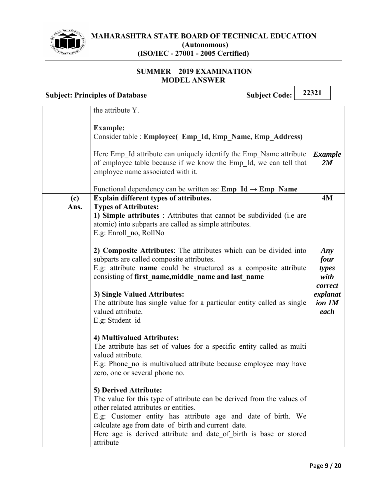

#### **SUMMER 2019 EXAMINATION MODEL ANSWER**

**Subject: Principles of Database Subject Code:** 22321 the attribute Y. **Example:**  Consider table : **Employee( Emp\_Id, Emp\_Name, Emp\_Address)**  Here Emp Id attribute can uniquely identify the Emp Name attribute of employee table because if we know the Emp\_Id, we can tell that employee name associated with it. Functional dependency can be written as: **Emp Id**  $\rightarrow$  **Emp Name** *Example 2M*  **(c) Ans. Explain different types of attributes. Types of Attributes: 1) Simple attributes** : Attributes that cannot be subdivided (i.e are atomic) into subparts are called as simple attributes. E.g: Enroll\_no, RollNo **2) Composite Attributes**: The attributes which can be divided into subparts are called composite attributes. E.g: attribute **name** could be structured as a composite attribute consisting of **first\_name,middle\_name and last\_name 3) Single Valued Attributes:**  The attribute has single value for a particular entity called as single valued attribute. E.g: Student\_id **4) Multivalued Attributes:**  The attribute has set of values for a specific entity called as multi valued attribute. E.g: Phone no is multivalued attribute because employee may have zero, one or several phone no. **5) Derived Attribute:**  The value for this type of attribute can be derived from the values of other related attributes or entities. E.g: Customer entity has attribute age and date of birth. We calculate age from date of birth and current date. **4M**  *Any four types with correct explanat ion 1M each*

Here age is derived attribute and date of birth is base or stored attribute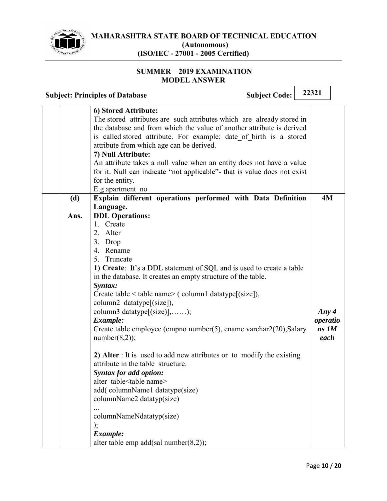

#### **SUMMER 2019 EXAMINATION MODEL ANSWER**

|             | 22321<br><b>Subject Code:</b><br><b>Subject: Principles of Database</b>                                                                                                                                                                                                                                                                                                                                                                                                                                                                                                                                                                                                                         |  |  |                                          |  |
|-------------|-------------------------------------------------------------------------------------------------------------------------------------------------------------------------------------------------------------------------------------------------------------------------------------------------------------------------------------------------------------------------------------------------------------------------------------------------------------------------------------------------------------------------------------------------------------------------------------------------------------------------------------------------------------------------------------------------|--|--|------------------------------------------|--|
| (d)<br>Ans. | 6) Stored Attribute:<br>The stored attributes are such attributes which are already stored in<br>the database and from which the value of another attribute is derived<br>is called stored attribute. For example: date of birth is a stored<br>attribute from which age can be derived.<br>7) Null Attribute:<br>An attribute takes a null value when an entity does not have a value<br>for it. Null can indicate "not applicable" that is value does not exist<br>for the entity.<br>E.g apartment no<br>Explain different operations performed with Data Definition<br>Language.<br><b>DDL</b> Operations:<br>1. Create                                                                     |  |  | 4M                                       |  |
|             | 2. Alter<br>3. Drop<br>4. Rename<br>5. Truncate<br>1) Create: It's a DDL statement of SQL and is used to create a table<br>in the database. It creates an empty structure of the table.<br>Syntax:<br>Create table $\leq$ table name $\geq$ (column1 datatype[(size]),<br>column2 datatype[(size]),<br>column3 datatype[(size)],);<br>Example:<br>Create table employee (empno number(5), ename varchar $2(20)$ , Salary<br>number(8,2);<br>2) Alter : It is used to add new attributes or to modify the existing<br>attribute in the table structure.<br><b>Syntax for add option:</b><br>alter table <table name=""><br/>add(columnName1 datatype(size)<br/>columnName2 datatyp(size)</table> |  |  | Any $4$<br>operatio<br>$ns$ $IM$<br>each |  |

... columnNameNdatatyp(size) );

alter table emp add(sal number(8,2));

*Example:*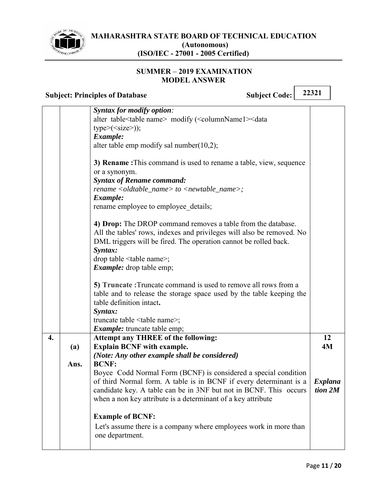

 $\overline{\phantom{0}}$ 

٦

#### **SUMMER - 2019 EXAMINATION MODEL ANSWER**

|    | 22321<br><b>Subject Code:</b><br><b>Subject: Principles of Database</b> |                                                                                                                                                                                                                                                                                                 |                           |
|----|-------------------------------------------------------------------------|-------------------------------------------------------------------------------------------------------------------------------------------------------------------------------------------------------------------------------------------------------------------------------------------------|---------------------------|
|    |                                                                         | <b>Syntax for modify option:</b><br>alter table <table name=""> modify (<columnname1><data<br><math>type&gt;(<size></size></math>);<br/>Example:<br/>alter table emp modify sal number(<math>10,2</math>);</data<br></columnname1></table>                                                      |                           |
|    |                                                                         | 3) Rename: This command is used to rename a table, view, sequence<br>or a synonym.<br><b>Syntax of Rename command:</b><br>$rename < old>oldtable_name > to < newtable_name>$ ;<br>Example:<br>rename employee to employee details;                                                              |                           |
|    |                                                                         | 4) Drop: The DROP command removes a table from the database.<br>All the tables' rows, indexes and privileges will also be removed. No<br>DML triggers will be fired. The operation cannot be rolled back.<br>Syntax:<br>drop table <table name="">;<br/><i>Example:</i> drop table emp;</table> |                           |
|    |                                                                         | 5) Truncate: Truncate command is used to remove all rows from a<br>table and to release the storage space used by the table keeping the<br>table definition intact.<br>Syntax:<br>truncate table <table name="">;<br/><i>Example:</i> truncate table emp;</table>                               |                           |
| 4. | (a)<br>Ans.                                                             | <b>Attempt any THREE of the following:</b><br><b>Explain BCNF with example.</b><br>(Note: Any other example shall be considered)<br><b>BCNF:</b>                                                                                                                                                | 12<br>4M                  |
|    |                                                                         | Boyce Codd Normal Form (BCNF) is considered a special condition<br>of third Normal form. A table is in BCNF if every determinant is a<br>candidate key. A table can be in 3NF but not in BCNF. This occurs<br>when a non key attribute is a determinant of a key attribute                      | <b>Explana</b><br>tion 2M |
|    |                                                                         | <b>Example of BCNF:</b><br>Let's assume there is a company where employees work in more than<br>one department.                                                                                                                                                                                 |                           |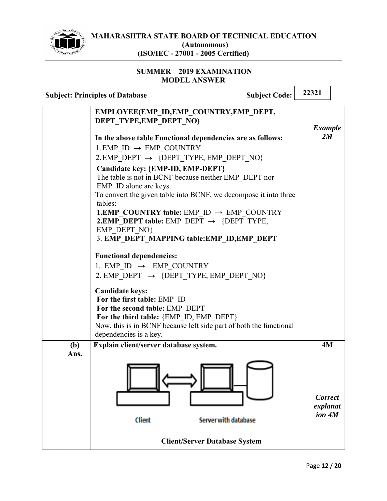

#### **SUMMER 2019 EXAMINATION MODEL ANSWER**

|                                                                    | <b>Subject Code:</b><br><b>Subject: Principles of Database</b>                                                                                                                                                                     | 22321                                |  |
|--------------------------------------------------------------------|------------------------------------------------------------------------------------------------------------------------------------------------------------------------------------------------------------------------------------|--------------------------------------|--|
| EMPLOYEE(EMP ID, EMP COUNTRY, EMP DEPT,<br>DEPT TYPE, EMP DEPT NO) |                                                                                                                                                                                                                                    |                                      |  |
|                                                                    | In the above table Functional dependencies are as follows:                                                                                                                                                                         | <b>Example</b><br>2M                 |  |
|                                                                    | 1. EMP ID $\rightarrow$ EMP_COUNTRY                                                                                                                                                                                                |                                      |  |
|                                                                    | 2. EMP DEPT $\rightarrow$ {DEPT TYPE, EMP DEPT NO}                                                                                                                                                                                 |                                      |  |
|                                                                    | Candidate key: {EMP-ID, EMP-DEPT}<br>The table is not in BCNF because neither EMP_DEPT nor<br>EMP ID alone are keys.                                                                                                               |                                      |  |
|                                                                    | To convert the given table into BCNF, we decompose it into three<br>tables:                                                                                                                                                        |                                      |  |
|                                                                    | <b>1.EMP COUNTRY table:</b> EMP ID $\rightarrow$ EMP COUNTRY<br><b>2.EMP DEPT table:</b> EMP DEPT $\rightarrow$ {DEPT TYPE,<br>EMP DEPT NO}                                                                                        |                                      |  |
|                                                                    | 3. EMP_DEPT_MAPPING table:EMP_ID,EMP_DEPT                                                                                                                                                                                          |                                      |  |
|                                                                    | <b>Functional dependencies:</b><br>1. EMP ID $\rightarrow$ EMP_COUNTRY                                                                                                                                                             |                                      |  |
|                                                                    | 2. EMP DEPT $\rightarrow$ {DEPT TYPE, EMP DEPT NO}                                                                                                                                                                                 |                                      |  |
|                                                                    | <b>Candidate keys:</b><br>For the first table: EMP ID<br>For the second table: EMP DEPT<br>For the third table: {EMP_ID, EMP_DEPT}<br>Now, this is in BCNF because left side part of both the functional<br>dependencies is a key. |                                      |  |
| (b)<br>Ans.                                                        | Explain client/server database system.                                                                                                                                                                                             | 4M                                   |  |
|                                                                    | <b>Client</b><br><b>Server with database</b>                                                                                                                                                                                       | <b>Correct</b><br>explanat<br>ion 4M |  |
|                                                                    | <b>Client/Server Database System</b>                                                                                                                                                                                               |                                      |  |

┑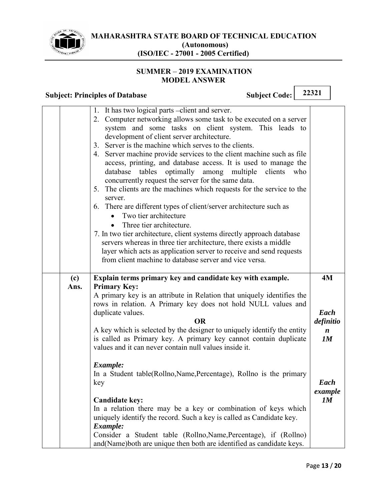

#### **SUMMER 2019 EXAMINATION MODEL ANSWER**

|             | <b>Subject: Principles of Database</b>                                                                                                                                                                                                                                                                                                                                                                                                                                                                                                                                                                                                                                                                                                                                                                                                                                                                                                                                                                                                      | <b>Subject Code:</b> | 22321                                       |
|-------------|---------------------------------------------------------------------------------------------------------------------------------------------------------------------------------------------------------------------------------------------------------------------------------------------------------------------------------------------------------------------------------------------------------------------------------------------------------------------------------------------------------------------------------------------------------------------------------------------------------------------------------------------------------------------------------------------------------------------------------------------------------------------------------------------------------------------------------------------------------------------------------------------------------------------------------------------------------------------------------------------------------------------------------------------|----------------------|---------------------------------------------|
|             | 1. It has two logical parts -client and server.<br>2. Computer networking allows some task to be executed on a server<br>system and some tasks on client system. This leads to<br>development of client server architecture.<br>3. Server is the machine which serves to the clients.<br>4. Server machine provide services to the client machine such as file<br>access, printing, and database access. It is used to manage the<br>tables<br>optimally<br>database<br>among multiple<br>concurrently request the server for the same data.<br>5. The clients are the machines which requests for the service to the<br>server.<br>6. There are different types of client/server architecture such as<br>Two tier architecture<br>Three tier architecture.<br>7. In two tier architecture, client systems directly approach database<br>servers whereas in three tier architecture, there exists a middle<br>layer which acts as application server to receive and send requests<br>from client machine to database server and vice versa. | clients              | who                                         |
| (c)<br>Ans. | Explain terms primary key and candidate key with example.<br><b>Primary Key:</b><br>A primary key is an attribute in Relation that uniquely identifies the<br>rows in relation. A Primary key does not hold NULL values and<br>duplicate values.<br><b>OR</b><br>A key which is selected by the designer to uniquely identify the entity                                                                                                                                                                                                                                                                                                                                                                                                                                                                                                                                                                                                                                                                                                    |                      | 4M<br>Each<br>definitio<br>$\boldsymbol{n}$ |
|             | is called as Primary key. A primary key cannot contain duplicate<br>values and it can never contain null values inside it.<br>Example:<br>In a Student table(Rollno,Name,Percentage), Rollno is the primary<br>key                                                                                                                                                                                                                                                                                                                                                                                                                                                                                                                                                                                                                                                                                                                                                                                                                          |                      | 1M<br>Each<br>example                       |
|             | <b>Candidate key:</b><br>In a relation there may be a key or combination of keys which<br>uniquely identify the record. Such a key is called as Candidate key.<br>Example:<br>Consider a Student table (Rollno, Name, Percentage), if (Rollno)<br>and (Name) both are unique then both are identified as candidate keys.                                                                                                                                                                                                                                                                                                                                                                                                                                                                                                                                                                                                                                                                                                                    |                      | 1M                                          |

 $\overline{\mathbf{r}}$ 

 $\Gamma$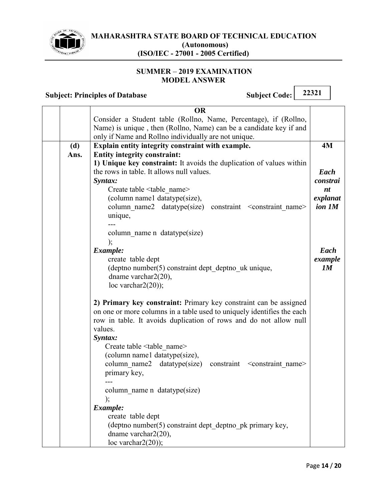

#### **SUMMER - 2019 EXAMINATION MODEL ANSWER**

|      | <b>OR</b>                                                                   |          |
|------|-----------------------------------------------------------------------------|----------|
|      | Consider a Student table (Rollno, Name, Percentage), if (Rollno,            |          |
|      | Name) is unique, then (Rollno, Name) can be a candidate key if and          |          |
|      | only if Name and Rollno individually are not unique.                        |          |
| (d)  | Explain entity integrity constraint with example.                           | 4M       |
| Ans. | <b>Entity integrity constraint:</b>                                         |          |
|      | 1) Unique key constraint: It avoids the duplication of values within        |          |
|      | the rows in table. It allows null values.                                   | Each     |
|      | Syntax:                                                                     | constrai |
|      | Create table <table name=""></table>                                        | nt       |
|      | (column name1 datatype(size),                                               | explanat |
|      | column name2 datatype(size) constraint <constraint name=""></constraint>    | ion 1M   |
|      | unique,                                                                     |          |
|      |                                                                             |          |
|      | column name n datatype(size)                                                |          |
|      |                                                                             |          |
|      | Example:                                                                    | Each     |
|      | create table dept                                                           | example  |
|      | (deptno number(5) constraint dept deptno uk unique,                         | 1M       |
|      | dname varchar $2(20)$ ,                                                     |          |
|      | loc varchar $2(20)$ ;                                                       |          |
|      |                                                                             |          |
|      | 2) Primary key constraint: Primary key constraint can be assigned           |          |
|      | on one or more columns in a table used to uniquely identifies the each      |          |
|      | row in table. It avoids duplication of rows and do not allow null           |          |
|      | values.                                                                     |          |
|      | Syntax:                                                                     |          |
|      | Create table <table_name></table_name>                                      |          |
|      | (column name1 datatype(size),                                               |          |
|      | column name2 datatype(size)<br>constraint <constraint name=""></constraint> |          |
|      | primary key,                                                                |          |
|      |                                                                             |          |
|      | column_name n datatype(size)                                                |          |
|      | );                                                                          |          |
|      | Example:                                                                    |          |
|      | create table dept                                                           |          |
|      | (deptno number(5) constraint dept deptno pk primary key,                    |          |
|      | dname varchar $2(20)$ ,                                                     |          |
|      | loc varchar $2(20)$ ;                                                       |          |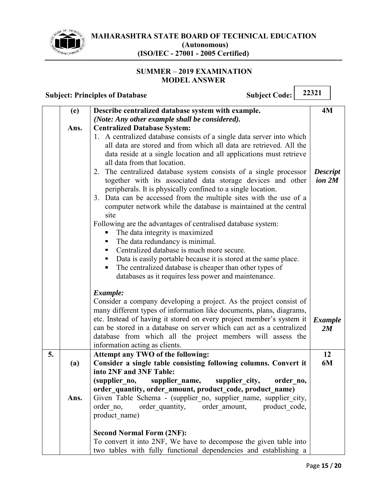

#### **SUMMER 2019 EXAMINATION MODEL ANSWER**

|    |      | <b>Subject Code:</b><br><b>Subject: Principles of Database</b>                                                                                                                                                                                                                                                                                                                                                                                                                                                                                                                                     | 22321                     |
|----|------|----------------------------------------------------------------------------------------------------------------------------------------------------------------------------------------------------------------------------------------------------------------------------------------------------------------------------------------------------------------------------------------------------------------------------------------------------------------------------------------------------------------------------------------------------------------------------------------------------|---------------------------|
|    | (e)  | Describe centralized database system with example.                                                                                                                                                                                                                                                                                                                                                                                                                                                                                                                                                 | 4M                        |
|    |      | (Note: Any other example shall be considered).                                                                                                                                                                                                                                                                                                                                                                                                                                                                                                                                                     |                           |
|    | Ans. | <b>Centralized Database System:</b>                                                                                                                                                                                                                                                                                                                                                                                                                                                                                                                                                                |                           |
|    |      | 1. A centralized database consists of a single data server into which<br>all data are stored and from which all data are retrieved. All the<br>data reside at a single location and all applications must retrieve<br>all data from that location.<br>The centralized database system consists of a single processor<br>2.<br>together with its associated data storage devices and other<br>peripherals. It is physically confined to a single location.<br>3. Data can be accessed from the multiple sites with the use of a<br>computer network while the database is maintained at the central | <b>Descript</b><br>ion 2M |
|    |      | site<br>Following are the advantages of centralised database system:<br>The data integrity is maximized<br>The data redundancy is minimal.<br>$\blacksquare$<br>Centralized database is much more secure.<br>Data is easily portable because it is stored at the same place.<br>п<br>The centralized database is cheaper than other types of<br>П<br>databases as it requires less power and maintenance.                                                                                                                                                                                          |                           |
|    |      | Example:<br>Consider a company developing a project. As the project consist of<br>many different types of information like documents, plans, diagrams,<br>etc. Instead of having it stored on every project member's system it<br>can be stored in a database on server which can act as a centralized<br>database from which all the project members will assess the<br>information acting as clients.                                                                                                                                                                                            | <b>Example</b><br>2M      |
| 5. | (a)  | Attempt any TWO of the following:<br>Consider a single table consisting following columns. Convert it                                                                                                                                                                                                                                                                                                                                                                                                                                                                                              | 12<br>6M                  |
|    | Ans. | into 2NF and 3NF Table:<br>(supplier no,<br>supplier name,<br>supplier city,<br>order no,<br>order_quantity, order_amount, product_code, product_name)<br>Given Table Schema - (supplier no, supplier name, supplier city,<br>order no,<br>order amount,<br>product code,<br>order quantity,<br>product name)                                                                                                                                                                                                                                                                                      |                           |
|    |      | <b>Second Normal Form (2NF):</b><br>To convert it into 2NF, We have to decompose the given table into<br>two tables with fully functional dependencies and establishing a                                                                                                                                                                                                                                                                                                                                                                                                                          |                           |

٦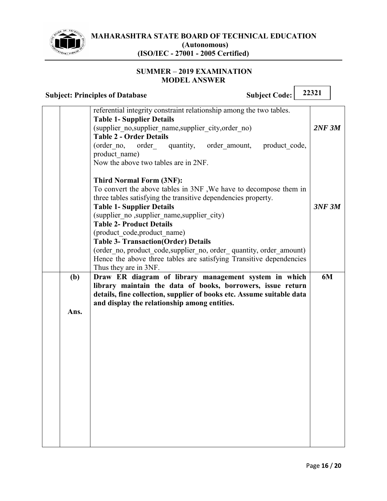

#### **SUMMER - 2019 EXAMINATION MODEL ANSWER**

|             | <b>Subject Code:</b><br><b>Subject: Principles of Database</b>                                                                                                                                                                                                                                                                                                                                                                                                                                                                                                                            | 22321  |
|-------------|-------------------------------------------------------------------------------------------------------------------------------------------------------------------------------------------------------------------------------------------------------------------------------------------------------------------------------------------------------------------------------------------------------------------------------------------------------------------------------------------------------------------------------------------------------------------------------------------|--------|
|             | referential integrity constraint relationship among the two tables.<br><b>Table 1- Supplier Details</b><br>(supplier no, supplier name, supplier city, order no)<br><b>Table 2 - Order Details</b><br>product code,<br>(order no,<br>order<br>quantity,<br>order amount,<br>product name)                                                                                                                                                                                                                                                                                                 | 2NF 3M |
|             | Now the above two tables are in 2NF.<br><b>Third Normal Form (3NF):</b><br>To convert the above tables in 3NF, We have to decompose them in<br>three tables satisfying the transitive dependencies property.<br><b>Table 1- Supplier Details</b><br>(supplier no , supplier name, supplier city)<br><b>Table 2- Product Details</b><br>(product code, product name)<br><b>Table 3- Transaction (Order) Details</b><br>(order_no, product_code, supplier_no, order_quantity, order_amount)<br>Hence the above three tables are satisfying Transitive dependencies<br>Thus they are in 3NF. | 3NF 3M |
| (b)<br>Ans. | Draw ER diagram of library management system in which<br>library maintain the data of books, borrowers, issue return<br>details, fine collection, supplier of books etc. Assume suitable data<br>and display the relationship among entities.                                                                                                                                                                                                                                                                                                                                             | 6M     |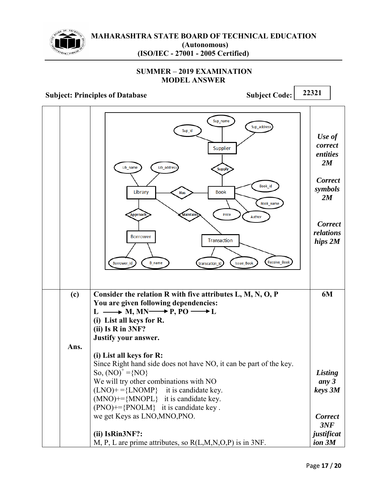

#### **SUMMER - 2019 EXAMINATION MODEL ANSWER**

|      | Sup_name<br>Sup_addres:<br>Sup_id<br>Supplier<br>Lib_name<br>Lib_address<br><b>Supply</b><br>Book id<br><b>Book</b><br>Library<br>Has<br>Book_name<br>Price<br>Approach<br><b>Maintain</b><br>Author<br><b>Borrower</b><br>Transaction                                                        | Use of<br>correct<br>entities<br>2M<br><b>Correct</b><br>symbols<br>2M<br><b>Correct</b><br>relations<br>hips 2M |
|------|-----------------------------------------------------------------------------------------------------------------------------------------------------------------------------------------------------------------------------------------------------------------------------------------------|------------------------------------------------------------------------------------------------------------------|
| (c)  | Receive_Book<br><b>B_name</b><br>Borrower id<br><b>Issue_Book</b><br>transcation id<br>Consider the relation R with five attributes L, M, N, O, P<br>You are given following dependencies:                                                                                                    | 6M                                                                                                               |
| Ans. | $L \longrightarrow M, MN \longrightarrow P, PO \longrightarrow L$<br>(i) List all keys for R.<br>$(ii)$ Is R in 3NF?<br>Justify your answer.                                                                                                                                                  |                                                                                                                  |
|      | (i) List all keys for R:<br>Since Right hand side does not have NO, it can be part of the key.<br>So, $(NO)^+ = \{NO\}$<br>We will try other combinations with NO<br>$(LNO)$ + ={LNOMP} it is candidate key.<br>$(MNO)$ +={MNOPL} it is candidate key.<br>(PNO)+={PNOLM} it is candidate key. | Listing<br>any 3<br>keys 3M                                                                                      |
|      | we get Keys as LNO, MNO, PNO.<br>(ii) IsRin3NF?:<br>M, P, L are prime attributes, so $R(L,M,N,O,P)$ is in 3NF.                                                                                                                                                                                | <b>Correct</b><br>3NF<br>justificat<br>ion 3M                                                                    |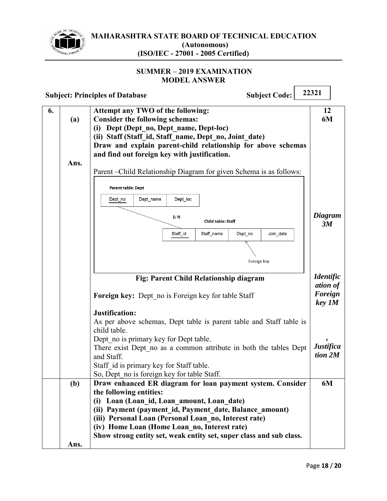

 $\Gamma$ 

 $\overline{\phantom{0}}$ 

#### **SUMMER 2019 EXAMINATION MODEL ANSWER**

|    | <b>Subject Code:</b><br><b>Subject: Principles of Database</b> |                                                                                                                                                                                                                                                                                                  | 22321                        |
|----|----------------------------------------------------------------|--------------------------------------------------------------------------------------------------------------------------------------------------------------------------------------------------------------------------------------------------------------------------------------------------|------------------------------|
| 6. | (a)                                                            | Attempt any TWO of the following:<br><b>Consider the following schemas:</b><br>(i) Dept (Dept no, Dept name, Dept-loc)<br>(ii) Staff (Staff id, Staff name, Dept no, Joint date)<br>Draw and explain parent-child relationship for above schemas<br>and find out foreign key with justification. | 12<br>6M                     |
|    | Ans.                                                           | Parent - Child Relationship Diagram for given Schema is as follows:                                                                                                                                                                                                                              |                              |
|    |                                                                | <b>Parent table: Dept</b>                                                                                                                                                                                                                                                                        |                              |
|    |                                                                | Dept_name<br>Dept_loc<br>Dept_no<br>1: N<br><b>Child table: Staff</b>                                                                                                                                                                                                                            | Diagram<br>3M                |
|    |                                                                | Staff_id<br>Join_date<br>Staff_name<br>Dept_no                                                                                                                                                                                                                                                   |                              |
|    |                                                                | Foreign key                                                                                                                                                                                                                                                                                      |                              |
|    |                                                                | Fig: Parent Child Relationship diagram                                                                                                                                                                                                                                                           | <b>Identific</b><br>ation of |
|    |                                                                | <b>Foreign key:</b> Dept no is Foreign key for table Staff                                                                                                                                                                                                                                       | Foreign<br>key 1M            |
|    |                                                                | Justification:<br>As per above schemas, Dept table is parent table and Staff table is<br>child table.                                                                                                                                                                                            |                              |
|    |                                                                | Dept no is primary key for Dept table.<br>There exist Dept no as a common attribute in both the tables Dept<br>and Staff.                                                                                                                                                                        | <b>Justifica</b><br>tion 2M  |
|    |                                                                | Staff id is primary key for Staff table.<br>So, Dept_no is foreign key for table Staff.                                                                                                                                                                                                          |                              |
|    | (b)                                                            | Draw enhanced ER diagram for loan payment system. Consider<br>the following entities:<br>(i) Loan (Loan id, Loan amount, Loan date)<br>(ii) Payment (payment id, Payment date, Balance amount)                                                                                                   | 6M                           |
|    |                                                                | (iii) Personal Loan (Personal Loan no, Interest rate)                                                                                                                                                                                                                                            |                              |
|    |                                                                | (iv) Home Loan (Home Loan no, Interest rate)<br>Show strong entity set, weak entity set, super class and sub class.                                                                                                                                                                              |                              |
|    | Ans.                                                           |                                                                                                                                                                                                                                                                                                  |                              |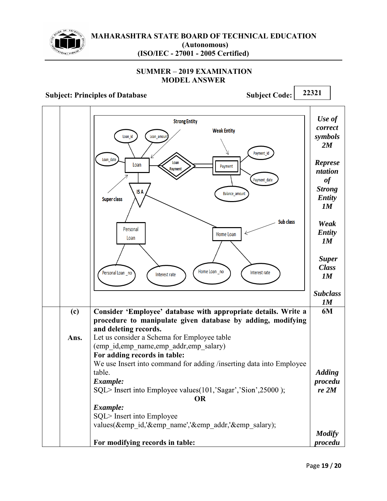

#### **SUMMER 2019 EXAMINATION MODEL ANSWER**

|      | <b>Strong Entity</b><br><b>Weak Entity</b><br>Loan id<br>Loan amour<br>Payment id<br>Loan date<br>Loan<br>Loan<br>Payment<br>Payment<br>Payment_date<br>IS A<br>Balance_amount<br><b>Super class</b>                                                                                                                                                                                              | Use of<br>correct<br>symbols<br>2M<br><b>Represe</b><br>ntation<br>of<br><b>Strong</b><br><b>Entity</b><br>1M |
|------|---------------------------------------------------------------------------------------------------------------------------------------------------------------------------------------------------------------------------------------------------------------------------------------------------------------------------------------------------------------------------------------------------|---------------------------------------------------------------------------------------------------------------|
|      | Sub class<br>Personal<br>Home Loan<br>Loan                                                                                                                                                                                                                                                                                                                                                        | Weak<br><b>Entity</b><br>1M                                                                                   |
|      | Home Loan _no<br>Personal Loan _no<br>Interest rate<br>Interest rate                                                                                                                                                                                                                                                                                                                              | <b>Super</b><br><b>Class</b><br>1M                                                                            |
|      |                                                                                                                                                                                                                                                                                                                                                                                                   | <b>Subclass</b><br>1M                                                                                         |
| (c)  | Consider 'Employee' database with appropriate details. Write a<br>procedure to manipulate given database by adding, modifying<br>and deleting records.                                                                                                                                                                                                                                            | 6M                                                                                                            |
| Ans. | Let us consider a Schema for Employee table<br>(emp id, emp name, emp addr, emp salary)<br>For adding records in table:<br>We use Insert into command for adding /inserting data into Employee<br>table.<br>Example:<br>SQL> Insert into Employee values(101,'Sagar','Sion',25000);<br><b>OR</b><br>Example:<br>SQL> Insert into Employee<br>values(&emp id,'&emp name','&emp addr,'&emp salary); | <b>Adding</b><br>procedu<br>re <sub>2M</sub>                                                                  |
|      |                                                                                                                                                                                                                                                                                                                                                                                                   | <b>Modify</b>                                                                                                 |
|      | For modifying records in table:                                                                                                                                                                                                                                                                                                                                                                   | procedu                                                                                                       |